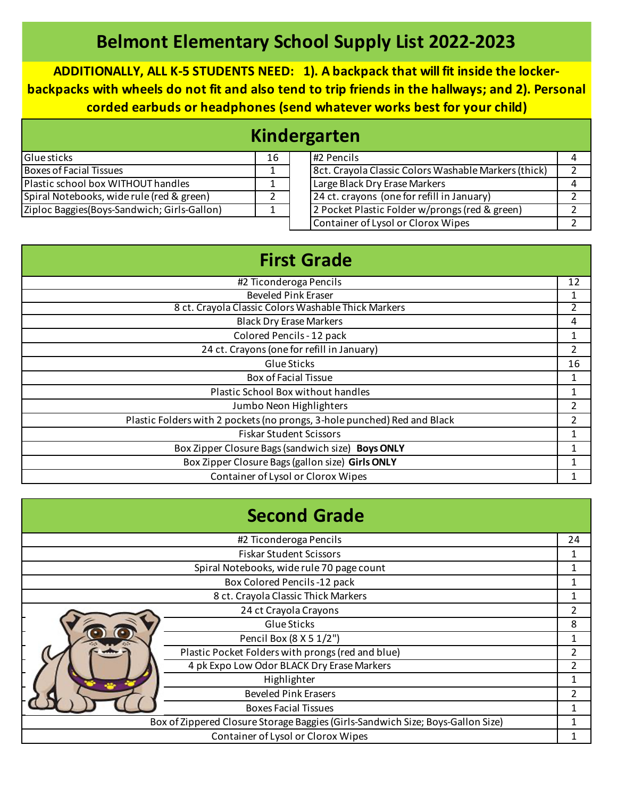## **Belmont Elementary School Supply List 2022-2023**

**ADDITIONALLY, ALL K-5 STUDENTS NEED: 1). A backpack that will fit inside the lockerbackpacks with wheels do not fit and also tend to trip friends in the hallways; and 2). Personal corded earbuds or headphones (send whatever works best for your child)**

| Kindergarten                                 |    |  |                                                      |  |  |
|----------------------------------------------|----|--|------------------------------------------------------|--|--|
| Glue sticks                                  | 16 |  | #2 Pencils                                           |  |  |
| Boxes of Facial Tissues                      |    |  | 8ct. Crayola Classic Colors Washable Markers (thick) |  |  |
| Plastic school box WITHOUT handles           |    |  | Large Black Dry Erase Markers                        |  |  |
| Spiral Notebooks, wide rule (red & green)    |    |  | 24 ct. crayons (one for refill in January)           |  |  |
| Ziploc Baggies (Boys-Sandwich; Girls-Gallon) |    |  | 2 Pocket Plastic Folder w/prongs (red & green)       |  |  |
|                                              |    |  | Container of Lysol or Clorox Wipes                   |  |  |

| <b>First Grade</b>                                                       |                |
|--------------------------------------------------------------------------|----------------|
| #2 Ticonderoga Pencils                                                   | 12             |
| <b>Beveled Pink Eraser</b>                                               |                |
| 8 ct. Crayola Classic Colors Washable Thick Markers                      | $\mathfrak z$  |
| <b>Black Dry Erase Markers</b>                                           | 4              |
| Colored Pencils - 12 pack                                                |                |
| 24 ct. Crayons (one for refill in January)                               | 2              |
| Glue Sticks                                                              | 16             |
| <b>Box of Facial Tissue</b>                                              |                |
| Plastic School Box without handles                                       |                |
| Jumbo Neon Highlighters                                                  | 2              |
| Plastic Folders with 2 pockets (no prongs, 3-hole punched) Red and Black | $\overline{2}$ |
| <b>Fiskar Student Scissors</b>                                           | 1              |
| Box Zipper Closure Bags (sandwich size) Boys ONLY                        |                |
| Box Zipper Closure Bags (gallon size) Girls ONLY                         |                |
| Container of Lysol or Clorox Wipes                                       |                |

|                                                                                 | <b>Second Grade</b>                               |                |
|---------------------------------------------------------------------------------|---------------------------------------------------|----------------|
|                                                                                 | #2 Ticonderoga Pencils                            | 24             |
|                                                                                 | <b>Fiskar Student Scissors</b>                    | 1              |
| Spiral Notebooks, wide rule 70 page count                                       |                                                   |                |
|                                                                                 | Box Colored Pencils -12 pack                      |                |
|                                                                                 | 8 ct. Crayola Classic Thick Markers               | 1              |
|                                                                                 | 24 ct Crayola Crayons                             | $\overline{2}$ |
|                                                                                 | Glue Sticks                                       | 8              |
|                                                                                 | Pencil Box (8 X 5 1/2")                           | 1              |
|                                                                                 | Plastic Pocket Folders with prongs (red and blue) | $\overline{2}$ |
|                                                                                 | 4 pk Expo Low Odor BLACK Dry Erase Markers        | $\overline{2}$ |
|                                                                                 | Highlighter                                       |                |
|                                                                                 | <b>Beveled Pink Erasers</b>                       |                |
|                                                                                 | <b>Boxes Facial Tissues</b>                       |                |
| Box of Zippered Closure Storage Baggies (Girls-Sandwich Size; Boys-Gallon Size) |                                                   | 1              |
|                                                                                 | Container of Lysol or Clorox Wipes                |                |